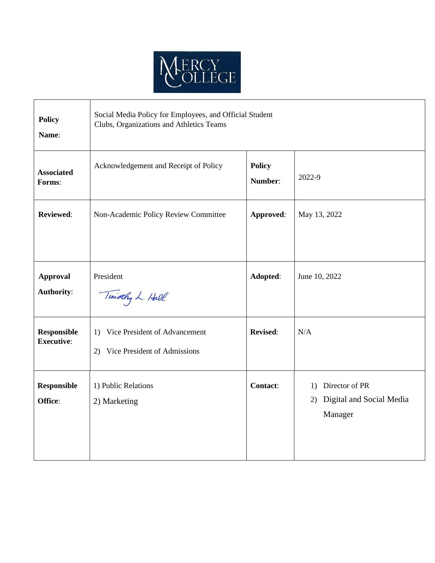

| <b>Policy</b><br>Name:                  | Social Media Policy for Employees, and Official Student<br>Clubs, Organizations and Athletics Teams |                          |                                                                |
|-----------------------------------------|-----------------------------------------------------------------------------------------------------|--------------------------|----------------------------------------------------------------|
| <b>Associated</b><br>Forms:             | Acknowledgement and Receipt of Policy                                                               | <b>Policy</b><br>Number: | 2022-9                                                         |
| <b>Reviewed:</b>                        | Non-Academic Policy Review Committee                                                                | Approved:                | May 13, 2022                                                   |
| <b>Approval</b><br>Authority:           | President<br>Timothy L. Hall                                                                        | Adopted:                 | June 10, 2022                                                  |
| <b>Responsible</b><br><b>Executive:</b> | Vice President of Advancement<br>1)<br>Vice President of Admissions<br>2)                           | <b>Revised:</b>          | N/A                                                            |
| <b>Responsible</b><br>Office:           | 1) Public Relations<br>2) Marketing                                                                 | <b>Contact:</b>          | Director of PR<br>1)<br>2) Digital and Social Media<br>Manager |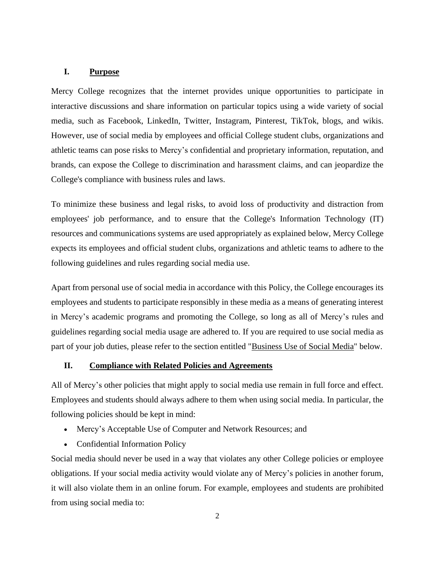## **I. Purpose**

Mercy College recognizes that the internet provides unique opportunities to participate in interactive discussions and share information on particular topics using a wide variety of social media, such as Facebook, LinkedIn, Twitter, Instagram, Pinterest, TikTok, blogs, and wikis. However, use of social media by employees and official College student clubs, organizations and athletic teams can pose risks to Mercy's confidential and proprietary information, reputation, and brands, can expose the College to discrimination and harassment claims, and can jeopardize the College's compliance with business rules and laws.

To minimize these business and legal risks, to avoid loss of productivity and distraction from employees' job performance, and to ensure that the College's Information Technology (IT) resources and communications systems are used appropriately as explained below, Mercy College expects its employees and official student clubs, organizations and athletic teams to adhere to the following guidelines and rules regarding social media use.

Apart from personal use of social media in accordance with this Policy, the College encourages its employees and students to participate responsibly in these media as a means of generating interest in Mercy's academic programs and promoting the College, so long as all of Mercy's rules and guidelines regarding social media usage are adhered to. If you are required to use social media as part of your job duties, please refer to the section entitled "Business Use of Social Media" below.

# **II. Compliance with Related Policies and Agreements**

All of Mercy's other policies that might apply to social media use remain in full force and effect. Employees and students should always adhere to them when using social media. In particular, the following policies should be kept in mind:

- Mercy's Acceptable Use of Computer and Network Resources; and
- Confidential Information Policy

Social media should never be used in a way that violates any other College policies or employee obligations. If your social media activity would violate any of Mercy's policies in another forum, it will also violate them in an online forum. For example, employees and students are prohibited from using social media to: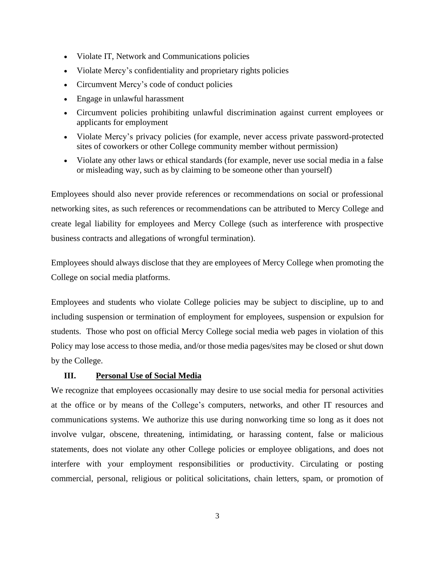- Violate IT, Network and Communications policies
- Violate Mercy's confidentiality and proprietary rights policies
- Circumvent Mercy's code of conduct policies
- Engage in unlawful harassment
- Circumvent policies prohibiting unlawful discrimination against current employees or applicants for employment
- Violate Mercy's privacy policies (for example, never access private password-protected sites of coworkers or other College community member without permission)
- Violate any other laws or ethical standards (for example, never use social media in a false or misleading way, such as by claiming to be someone other than yourself)

Employees should also never provide references or recommendations on social or professional networking sites, as such references or recommendations can be attributed to Mercy College and create legal liability for employees and Mercy College (such as interference with prospective business contracts and allegations of wrongful termination).

Employees should always disclose that they are employees of Mercy College when promoting the College on social media platforms.

Employees and students who violate College policies may be subject to discipline, up to and including suspension or termination of employment for employees, suspension or expulsion for students. Those who post on official Mercy College social media web pages in violation of this Policy may lose access to those media, and/or those media pages/sites may be closed or shut down by the College.

# **III. Personal Use of Social Media**

We recognize that employees occasionally may desire to use social media for personal activities at the office or by means of the College's computers, networks, and other IT resources and communications systems. We authorize this use during nonworking time so long as it does not involve vulgar, obscene, threatening, intimidating, or harassing content, false or malicious statements, does not violate any other College policies or employee obligations, and does not interfere with your employment responsibilities or productivity. Circulating or posting commercial, personal, religious or political solicitations, chain letters, spam, or promotion of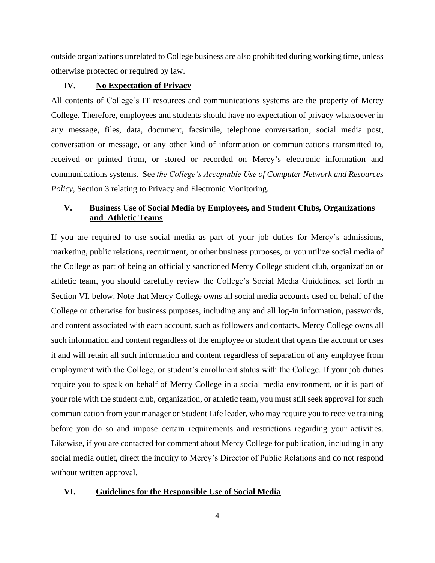outside organizations unrelated to College business are also prohibited during working time, unless otherwise protected or required by law.

## **IV. No Expectation of Privacy**

All contents of College's IT resources and communications systems are the property of Mercy College. Therefore, employees and students should have no expectation of privacy whatsoever in any message, files, data, document, facsimile, telephone conversation, social media post, conversation or message, or any other kind of information or communications transmitted to, received or printed from, or stored or recorded on Mercy's electronic information and communications systems. See *the College's Acceptable Use of Computer Network and Resources Policy*, Section 3 relating to Privacy and Electronic Monitoring.

# **V. Business Use of Social Media by Employees, and Student Clubs, Organizations and Athletic Teams**

If you are required to use social media as part of your job duties for Mercy's admissions, marketing, public relations, recruitment, or other business purposes, or you utilize social media of the College as part of being an officially sanctioned Mercy College student club, organization or athletic team, you should carefully review the College's Social Media Guidelines, set forth in Section VI. below. Note that Mercy College owns all social media accounts used on behalf of the College or otherwise for business purposes, including any and all log-in information, passwords, and content associated with each account, such as followers and contacts. Mercy College owns all such information and content regardless of the employee or student that opens the account or uses it and will retain all such information and content regardless of separation of any employee from employment with the College, or student's enrollment status with the College. If your job duties require you to speak on behalf of Mercy College in a social media environment, or it is part of your role with the student club, organization, or athletic team, you must still seek approval for such communication from your manager or Student Life leader, who may require you to receive training before you do so and impose certain requirements and restrictions regarding your activities. Likewise, if you are contacted for comment about Mercy College for publication, including in any social media outlet, direct the inquiry to Mercy's Director of Public Relations and do not respond without written approval.

#### **VI. Guidelines for the Responsible Use of Social Media**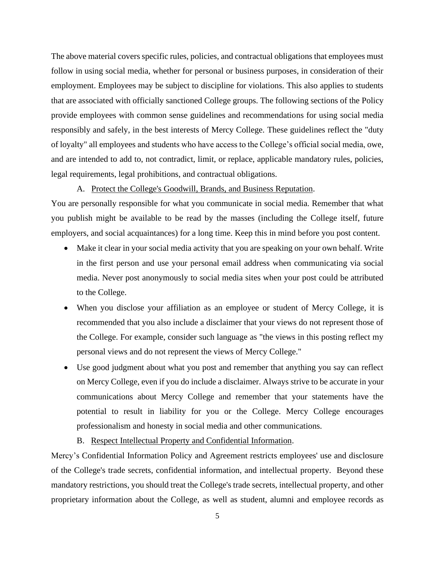The above material covers specific rules, policies, and contractual obligations that employees must follow in using social media, whether for personal or business purposes, in consideration of their employment. Employees may be subject to discipline for violations. This also applies to students that are associated with officially sanctioned College groups. The following sections of the Policy provide employees with common sense guidelines and recommendations for using social media responsibly and safely, in the best interests of Mercy College. These guidelines reflect the "duty of loyalty" all employees and students who have access to the College's official social media, owe, and are intended to add to, not contradict, limit, or replace, applicable mandatory rules, policies, legal requirements, legal prohibitions, and contractual obligations.

#### A. Protect the College's Goodwill, Brands, and Business Reputation.

You are personally responsible for what you communicate in social media. Remember that what you publish might be available to be read by the masses (including the College itself, future employers, and social acquaintances) for a long time. Keep this in mind before you post content.

- Make it clear in your social media activity that you are speaking on your own behalf. Write in the first person and use your personal email address when communicating via social media. Never post anonymously to social media sites when your post could be attributed to the College.
- When you disclose your affiliation as an employee or student of Mercy College, it is recommended that you also include a disclaimer that your views do not represent those of the College. For example, consider such language as "the views in this posting reflect my personal views and do not represent the views of Mercy College."
- Use good judgment about what you post and remember that anything you say can reflect on Mercy College, even if you do include a disclaimer. Always strive to be accurate in your communications about Mercy College and remember that your statements have the potential to result in liability for you or the College. Mercy College encourages professionalism and honesty in social media and other communications.
	- B. Respect Intellectual Property and Confidential Information.

Mercy's Confidential Information Policy and Agreement restricts employees' use and disclosure of the College's trade secrets, confidential information, and intellectual property. Beyond these mandatory restrictions, you should treat the College's trade secrets, intellectual property, and other proprietary information about the College, as well as student, alumni and employee records as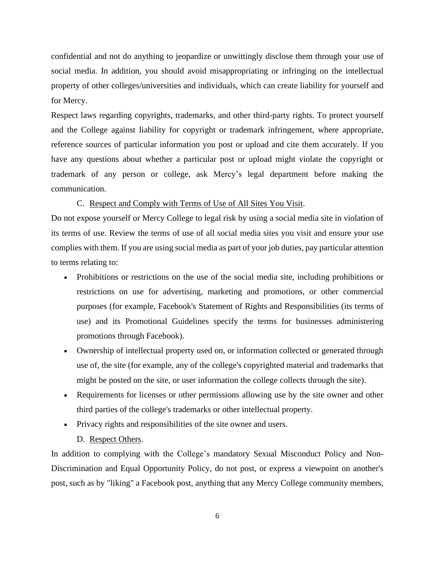confidential and not do anything to jeopardize or unwittingly disclose them through your use of social media. In addition, you should avoid misappropriating or infringing on the intellectual property of other colleges/universities and individuals, which can create liability for yourself and for Mercy.

Respect laws regarding copyrights, trademarks, and other third-party rights. To protect yourself and the College against liability for copyright or trademark infringement, where appropriate, reference sources of particular information you post or upload and cite them accurately. If you have any questions about whether a particular post or upload might violate the copyright or trademark of any person or college, ask Mercy's legal department before making the communication.

# C. Respect and Comply with Terms of Use of All Sites You Visit.

Do not expose yourself or Mercy College to legal risk by using a social media site in violation of its terms of use. Review the terms of use of all social media sites you visit and ensure your use complies with them. If you are using social media as part of your job duties, pay particular attention to terms relating to:

- Prohibitions or restrictions on the use of the social media site, including prohibitions or restrictions on use for advertising, marketing and promotions, or other commercial purposes (for example, Facebook's Statement of Rights and Responsibilities (its terms of use) and its Promotional Guidelines specify the terms for businesses administering promotions through Facebook).
- Ownership of intellectual property used on, or information collected or generated through use of, the site (for example, any of the college's copyrighted material and trademarks that might be posted on the site, or user information the college collects through the site).
- Requirements for licenses or other permissions allowing use by the site owner and other third parties of the college's trademarks or other intellectual property.
- Privacy rights and responsibilities of the site owner and users.
	- D. Respect Others.

In addition to complying with the College's mandatory Sexual Misconduct Policy and Non-Discrimination and Equal Opportunity Policy, do not post, or express a viewpoint on another's post, such as by "liking" a Facebook post, anything that any Mercy College community members,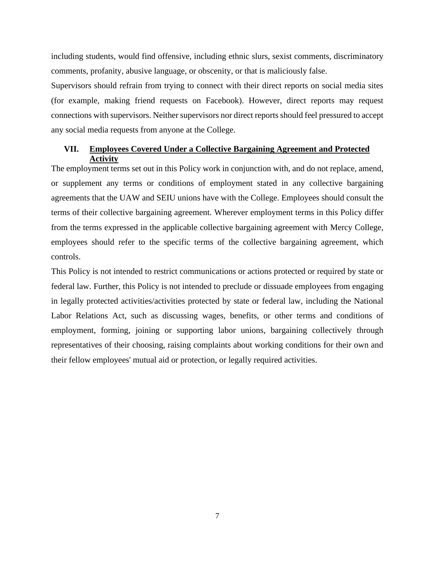including students, would find offensive, including ethnic slurs, sexist comments, discriminatory comments, profanity, abusive language, or obscenity, or that is maliciously false.

Supervisors should refrain from trying to connect with their direct reports on social media sites (for example, making friend requests on Facebook). However, direct reports may request connections with supervisors. Neither supervisors nor direct reports should feel pressured to accept any social media requests from anyone at the College.

### **VII. Employees Covered Under a Collective Bargaining Agreement and Protected Activity**

The employment terms set out in this Policy work in conjunction with, and do not replace, amend, or supplement any terms or conditions of employment stated in any collective bargaining agreements that the UAW and SEIU unions have with the College. Employees should consult the terms of their collective bargaining agreement. Wherever employment terms in this Policy differ from the terms expressed in the applicable collective bargaining agreement with Mercy College, employees should refer to the specific terms of the collective bargaining agreement, which controls.

This Policy is not intended to restrict communications or actions protected or required by state or federal law. Further, this Policy is not intended to preclude or dissuade employees from engaging in legally protected activities/activities protected by state or federal law, including the National Labor Relations Act, such as discussing wages, benefits, or other terms and conditions of employment, forming, joining or supporting labor unions, bargaining collectively through representatives of their choosing, raising complaints about working conditions for their own and their fellow employees' mutual aid or protection, or legally required activities.